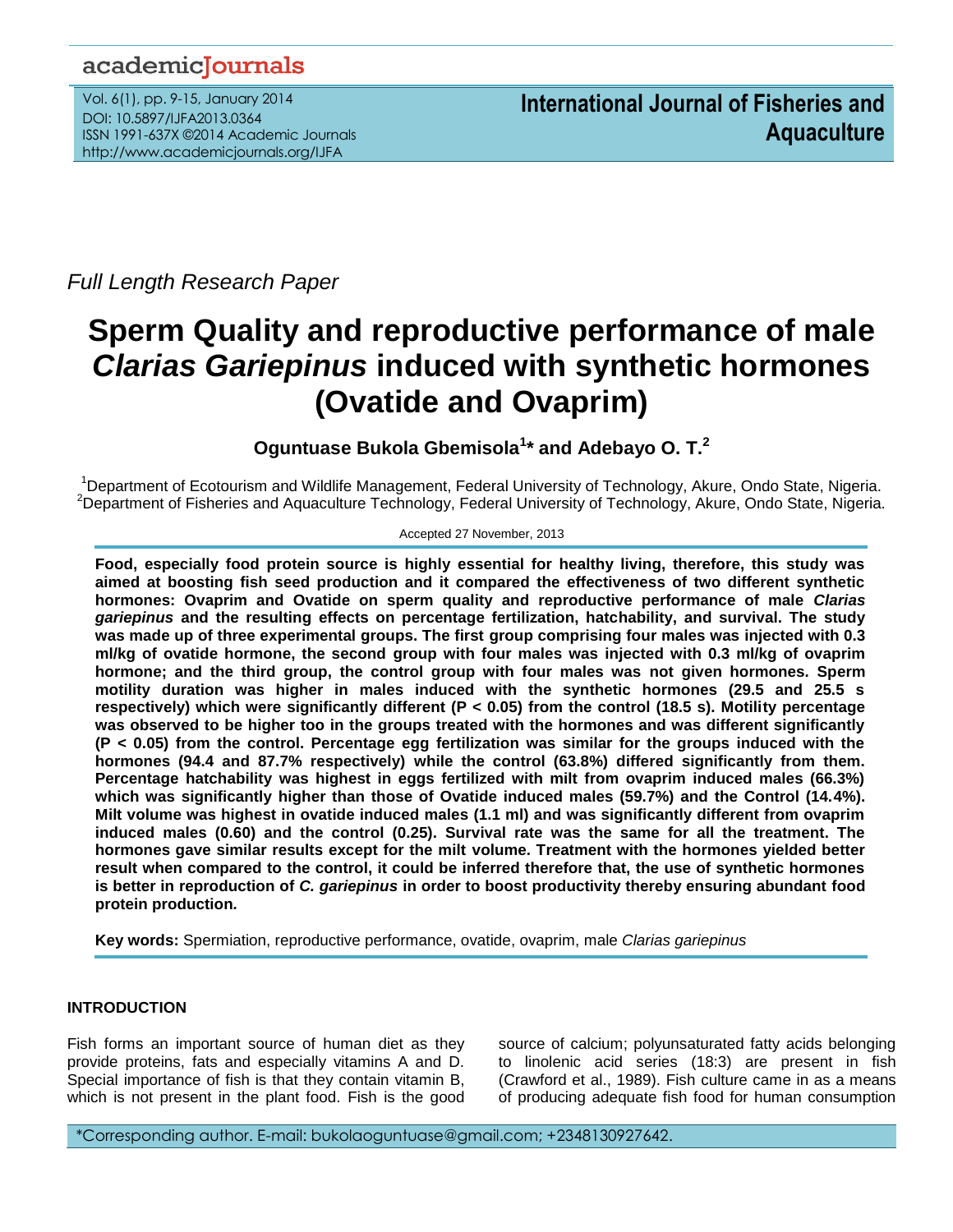# academicJournals

Vol. 6(1), pp. 9-15, January 2014 DOI: 10.5897/IJFA2013.0364 ISSN 1991-637X ©2014 Academic Journals http://www.academicjournals.org/IJFA

*Full Length Research Paper*

# **Sperm Quality and reproductive performance of male**  *Clarias Gariepinus* **induced with synthetic hormones (Ovatide and Ovaprim)**

**Oguntuase Bukola Gbemisola<sup>1</sup> \* and Adebayo O. T. 2**

<sup>1</sup>Department of Ecotourism and Wildlife Management, Federal University of Technology, Akure, Ondo State, Nigeria. <sup>2</sup>Department of Fisheries and Aquaculture Technology, Federal University of Technology, Akure, Ondo State, Nigeria.

Accepted 27 November, 2013

**Food, especially food protein source is highly essential for healthy living, therefore, this study was aimed at boosting fish seed production and it compared the effectiveness of two different synthetic hormones: Ovaprim and Ovatide on sperm quality and reproductive performance of male** *Clarias gariepinus* **and the resulting effects on percentage fertilization, hatchability, and survival. The study was made up of three experimental groups. The first group comprising four males was injected with 0.3 ml/kg of ovatide hormone, the second group with four males was injected with 0.3 ml/kg of ovaprim hormone; and the third group, the control group with four males was not given hormones. Sperm motility duration was higher in males induced with the synthetic hormones (29.5 and 25.5 s respectively) which were significantly different (P < 0.05) from the control (18.5 s). Motility percentage was observed to be higher too in the groups treated with the hormones and was different significantly (P < 0.05) from the control. Percentage egg fertilization was similar for the groups induced with the hormones (94.4 and 87.7% respectively) while the control (63.8%) differed significantly from them. Percentage hatchability was highest in eggs fertilized with milt from ovaprim induced males (66.3%) which was significantly higher than those of Ovatide induced males (59.7%) and the Control (14.4%). Milt volume was highest in ovatide induced males (1.1 ml) and was significantly different from ovaprim induced males (0.60) and the control (0.25). Survival rate was the same for all the treatment. The hormones gave similar results except for the milt volume. Treatment with the hormones yielded better result when compared to the control, it could be inferred therefore that, the use of synthetic hormones is better in reproduction of** *C. gariepinus* **in order to boost productivity thereby ensuring abundant food protein production***.*

**Key words:** Spermiation, reproductive performance, ovatide, ovaprim, male *Clarias gariepinus*

# **INTRODUCTION**

Fish forms an important source of human diet as they provide proteins, fats and especially vitamins A and D. Special importance of fish is that they contain vitamin B, which is not present in the plant food. Fish is the good

source of calcium; polyunsaturated fatty acids belonging to linolenic acid series (18:3) are present in fish (Crawford et al., 1989). Fish culture came in as a means of producing adequate fish food for human consumption

\*Corresponding author. E-mail: bukolaoguntuase@gmail.com; +2348130927642.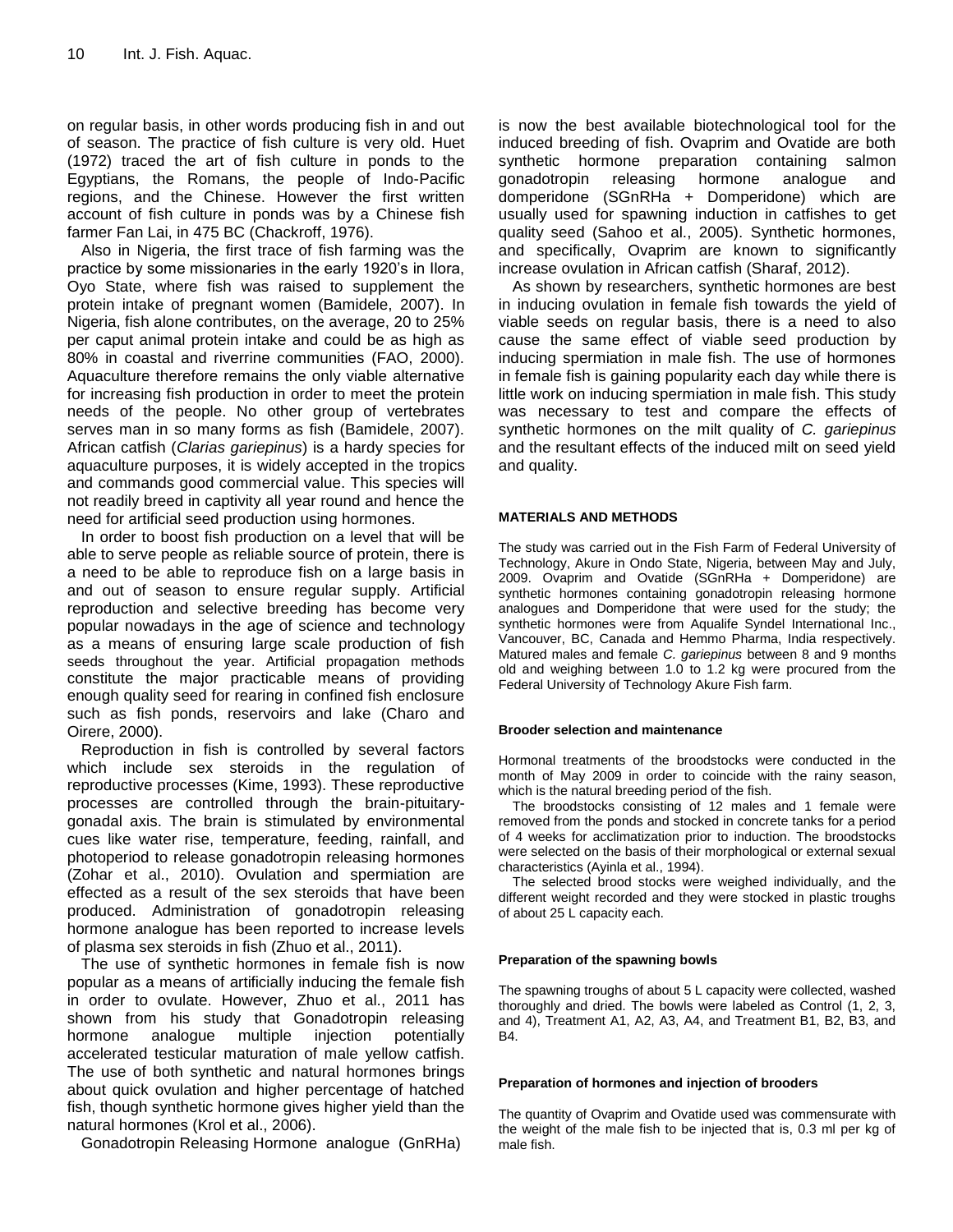on regular basis, in other words producing fish in and out of season. The practice of fish culture is very old. Huet (1972) traced the art of fish culture in ponds to the Egyptians, the Romans, the people of Indo-Pacific regions, and the Chinese. However the first written account of fish culture in ponds was by a Chinese fish farmer Fan Lai, in 475 BC (Chackroff, 1976).

Also in Nigeria, the first trace of fish farming was the practice by some missionaries in the early 1920's in Ilora, Oyo State, where fish was raised to supplement the protein intake of pregnant women (Bamidele, 2007). In Nigeria, fish alone contributes, on the average, 20 to 25% per caput animal protein intake and could be as high as 80% in coastal and riverrine communities (FAO, 2000). Aquaculture therefore remains the only viable alternative for increasing fish production in order to meet the protein needs of the people. No other group of vertebrates serves man in so many forms as fish (Bamidele, 2007). African catfish (*Clarias gariepinus*) is a hardy species for aquaculture purposes, it is widely accepted in the tropics and commands good commercial value. This species will not readily breed in captivity all year round and hence the need for artificial seed production using hormones.

In order to boost fish production on a level that will be able to serve people as reliable source of protein, there is a need to be able to reproduce fish on a large basis in and out of season to ensure regular supply. Artificial reproduction and selective breeding has become very popular nowadays in the age of science and technology as a means of ensuring large scale production of fish seeds throughout the year. Artificial propagation methods constitute the major practicable means of providing enough quality seed for rearing in confined fish enclosure such as fish ponds, reservoirs and lake (Charo and Oirere, 2000).

Reproduction in fish is controlled by several factors which include sex steroids in the regulation of reproductive processes (Kime, 1993). These reproductive processes are controlled through the brain-pituitarygonadal axis. The brain is stimulated by environmental cues like water rise, temperature, feeding, rainfall, and photoperiod to release gonadotropin releasing hormones (Zohar et al., 2010). Ovulation and spermiation are effected as a result of the sex steroids that have been produced. Administration of gonadotropin releasing hormone analogue has been reported to increase levels of plasma sex steroids in fish (Zhuo et al., 2011).

The use of synthetic hormones in female fish is now popular as a means of artificially inducing the female fish in order to ovulate. However, Zhuo et al., 2011 has shown from his study that Gonadotropin releasing hormone analogue multiple injection potentially accelerated testicular maturation of male yellow catfish. The use of both synthetic and natural hormones brings about quick ovulation and higher percentage of hatched fish, though synthetic hormone gives higher yield than the natural hormones (Krol et al., 2006).

Gonadotropin Releasing Hormone analogue (GnRHa)

is now the best available biotechnological tool for the induced breeding of fish. Ovaprim and Ovatide are both synthetic hormone preparation containing salmon gonadotropin releasing hormone analogue and domperidone (SGnRHa + Domperidone) which are usually used for spawning induction in catfishes to get quality seed (Sahoo et al., 2005). Synthetic hormones, and specifically, Ovaprim are known to significantly increase ovulation in African catfish (Sharaf, 2012).

As shown by researchers, synthetic hormones are best in inducing ovulation in female fish towards the yield of viable seeds on regular basis, there is a need to also cause the same effect of viable seed production by inducing spermiation in male fish. The use of hormones in female fish is gaining popularity each day while there is little work on inducing spermiation in male fish. This study was necessary to test and compare the effects of synthetic hormones on the milt quality of *C. gariepinus*  and the resultant effects of the induced milt on seed yield and quality.

# **MATERIALS AND METHODS**

The study was carried out in the Fish Farm of Federal University of Technology, Akure in Ondo State, Nigeria, between May and July, 2009. Ovaprim and Ovatide (SGnRHa + Domperidone) are synthetic hormones containing gonadotropin releasing hormone analogues and Domperidone that were used for the study; the synthetic hormones were from Aqualife Syndel International Inc., Vancouver, BC, Canada and Hemmo Pharma, India respectively. Matured males and female *C. gariepinus* between 8 and 9 months old and weighing between 1.0 to 1.2 kg were procured from the Federal University of Technology Akure Fish farm.

#### **Brooder selection and maintenance**

Hormonal treatments of the broodstocks were conducted in the month of May 2009 in order to coincide with the rainy season, which is the natural breeding period of the fish.

The broodstocks consisting of 12 males and 1 female were removed from the ponds and stocked in concrete tanks for a period of 4 weeks for acclimatization prior to induction. The broodstocks were selected on the basis of their morphological or external sexual characteristics (Ayinla et al., 1994).

The selected brood stocks were weighed individually, and the different weight recorded and they were stocked in plastic troughs of about 25 L capacity each.

#### **Preparation of the spawning bowls**

The spawning troughs of about 5 L capacity were collected, washed thoroughly and dried. The bowls were labeled as Control (1, 2, 3, and 4), Treatment A1, A2, A3, A4, and Treatment B1, B2, B3, and B4.

#### **Preparation of hormones and injection of brooders**

The quantity of Ovaprim and Ovatide used was commensurate with the weight of the male fish to be injected that is, 0.3 ml per kg of male fish.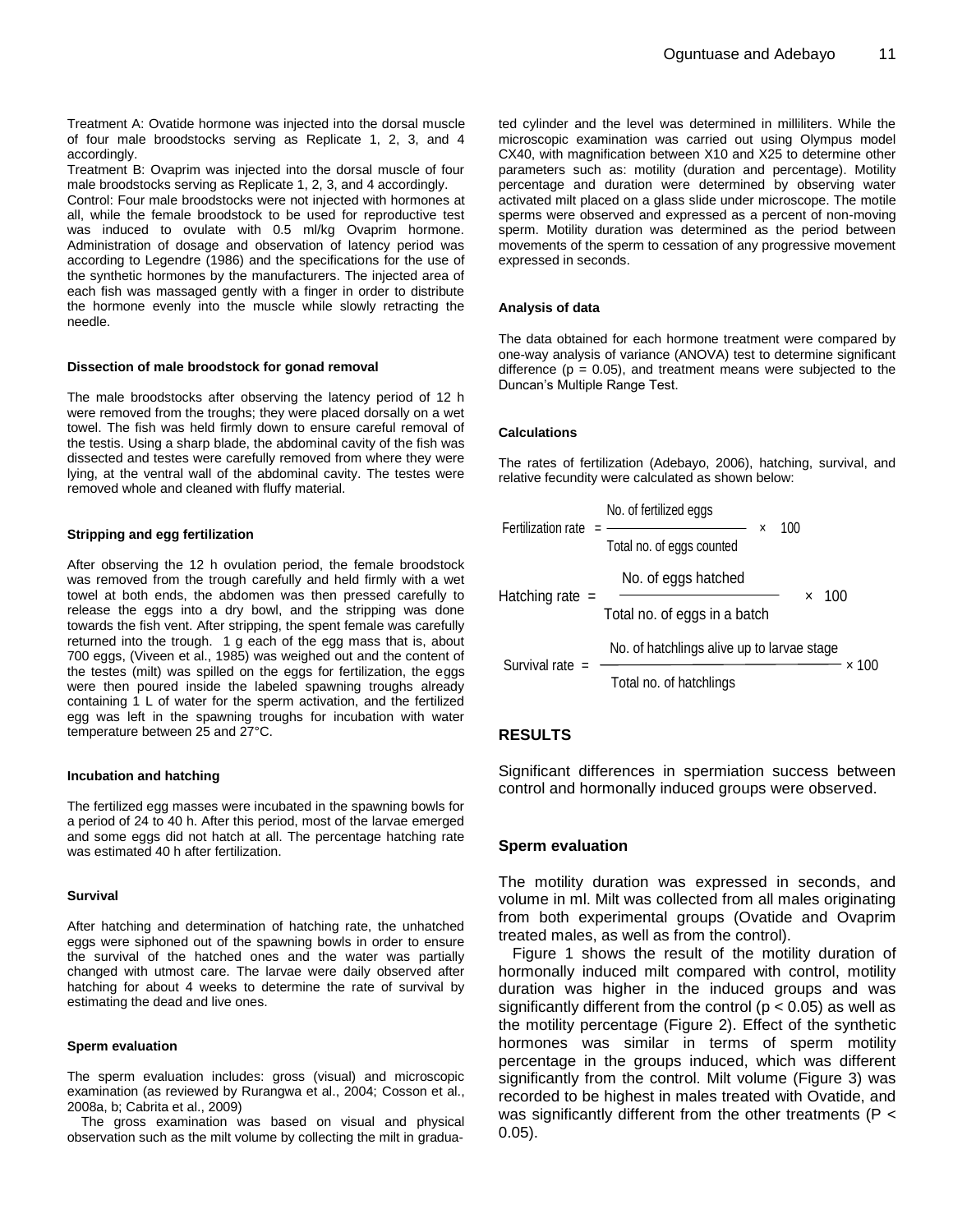Treatment A: Ovatide hormone was injected into the dorsal muscle of four male broodstocks serving as Replicate 1, 2, 3, and 4 accordingly.

Treatment B: Ovaprim was injected into the dorsal muscle of four male broodstocks serving as Replicate 1, 2, 3, and 4 accordingly.

Control: Four male broodstocks were not injected with hormones at all, while the female broodstock to be used for reproductive test was induced to ovulate with 0.5 ml/kg Ovaprim hormone. Administration of dosage and observation of latency period was according to Legendre (1986) and the specifications for the use of the synthetic hormones by the manufacturers. The injected area of each fish was massaged gently with a finger in order to distribute the hormone evenly into the muscle while slowly retracting the needle.

#### **Dissection of male broodstock for gonad removal**

The male broodstocks after observing the latency period of 12 h were removed from the troughs; they were placed dorsally on a wet towel. The fish was held firmly down to ensure careful removal of the testis. Using a sharp blade, the abdominal cavity of the fish was dissected and testes were carefully removed from where they were lying, at the ventral wall of the abdominal cavity. The testes were removed whole and cleaned with fluffy material.

#### **Stripping and egg fertilization**

After observing the 12 h ovulation period, the female broodstock was removed from the trough carefully and held firmly with a wet towel at both ends, the abdomen was then pressed carefully to release the eggs into a dry bowl, and the stripping was done towards the fish vent. After stripping, the spent female was carefully returned into the trough. 1 g each of the egg mass that is, about 700 eggs, (Viveen et al., 1985) was weighed out and the content of the testes (milt) was spilled on the eggs for fertilization, the eggs were then poured inside the labeled spawning troughs already containing 1 L of water for the sperm activation, and the fertilized egg was left in the spawning troughs for incubation with water temperature between 25 and 27°C.

#### **Incubation and hatching**

The fertilized egg masses were incubated in the spawning bowls for a period of 24 to 40 h. After this period, most of the larvae emerged and some eggs did not hatch at all. The percentage hatching rate was estimated 40 h after fertilization.

#### **Survival**

After hatching and determination of hatching rate, the unhatched eggs were siphoned out of the spawning bowls in order to ensure the survival of the hatched ones and the water was partially changed with utmost care. The larvae were daily observed after hatching for about 4 weeks to determine the rate of survival by estimating the dead and live ones.

#### **Sperm evaluation**

The sperm evaluation includes: gross (visual) and microscopic examination (as reviewed by Rurangwa et al., 2004; Cosson et al., 2008a, b; Cabrita et al., 2009)

The gross examination was based on visual and physical observation such as the milt volume by collecting the milt in gradua-

ted cylinder and the level was determined in milliliters. While the microscopic examination was carried out using Olympus model CX40, with magnification between X10 and X25 to determine other parameters such as: motility (duration and percentage). Motility percentage and duration were determined by observing water activated milt placed on a glass slide under microscope. The motile sperms were observed and expressed as a percent of non-moving sperm. Motility duration was determined as the period between movements of the sperm to cessation of any progressive movement expressed in seconds.

#### **Analysis of data**

The data obtained for each hormone treatment were compared by one-way analysis of variance (ANOVA) test to determine significant difference ( $p = 0.05$ ), and treatment means were subjected to the Duncan's Multiple Range Test.

#### **Calculations**

The rates of fertilization (Adebayo, 2006), hatching, survival, and relative fecundity were calculated as shown below:

Fertilization rate = 
$$
\frac{\text{No. of fertilized eggs}}{\text{Total no. of eggs counted}}
$$
 x 100  
Hadining rate = 
$$
\frac{\text{No. of eggs hatched}}{\text{Total no. of eggs in a batch}}
$$
 x 100  
Survival rate = 
$$
\frac{\text{No. of hatchlings alive up to larvae stage}}{\text{Total no. of hatchlings}}
$$
 x 100

# **RESULTS**

Significant differences in spermiation success between control and hormonally induced groups were observed.

# **Sperm evaluation**

The motility duration was expressed in seconds, and volume in ml. Milt was collected from all males originating from both experimental groups (Ovatide and Ovaprim treated males, as well as from the control).

Figure 1 shows the result of the motility duration of hormonally induced milt compared with control, motility duration was higher in the induced groups and was significantly different from the control ( $p < 0.05$ ) as well as the motility percentage (Figure 2). Effect of the synthetic hormones was similar in terms of sperm motility percentage in the groups induced, which was different significantly from the control. Milt volume (Figure 3) was recorded to be highest in males treated with Ovatide, and was significantly different from the other treatments (P < 0.05).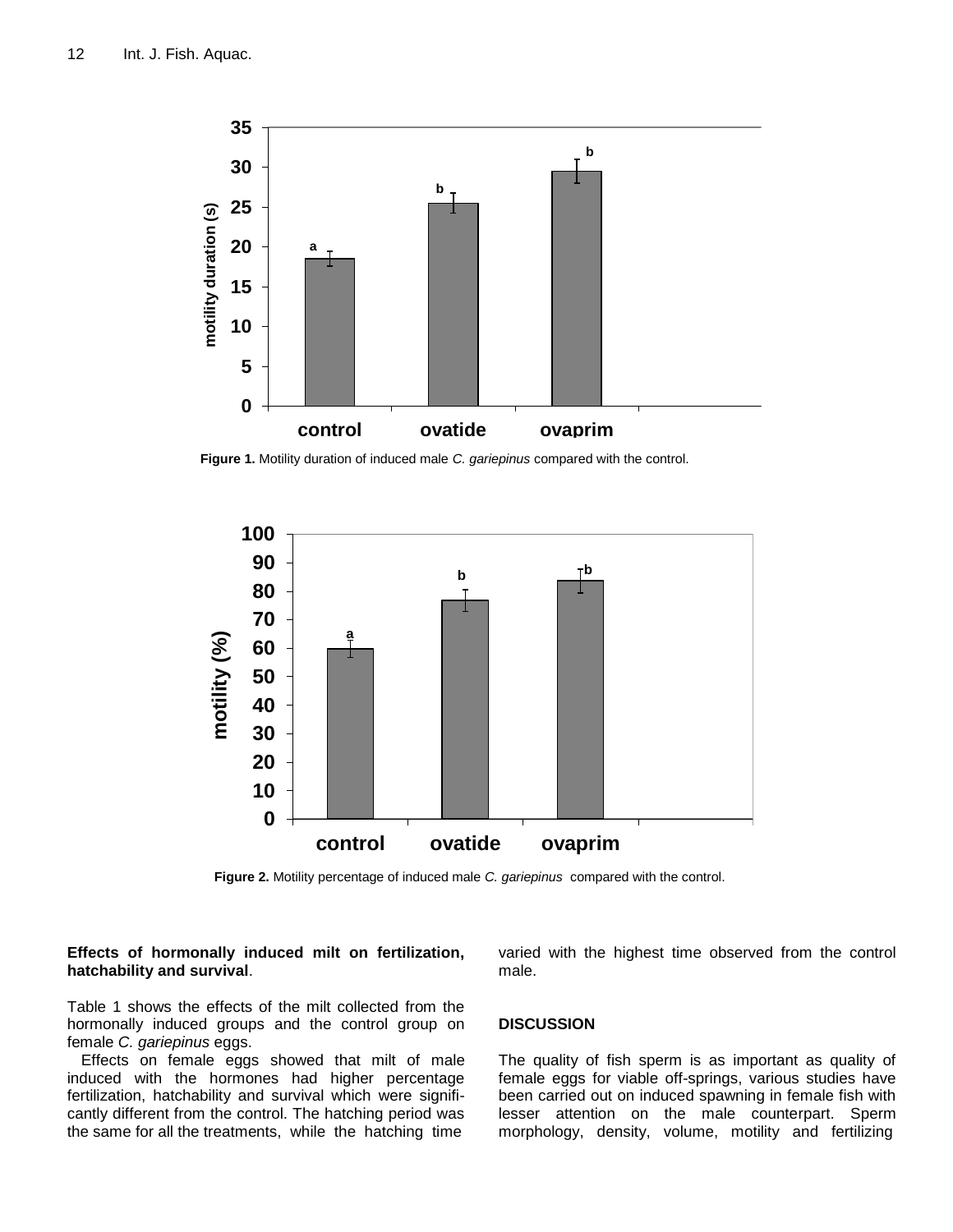

**Figure 1.** Motility duration of induced male *C. gariepinus* compared with the control.



**Figure 2.** Motility percentage of induced male *C. gariepinus* compared with the control.

# **Effects of hormonally induced milt on fertilization, hatchability and survival**.

Table 1 shows the effects of the milt collected from the hormonally induced groups and the control group on female *C. gariepinus* eggs.

Effects on female eggs showed that milt of male induced with the hormones had higher percentage fertilization, hatchability and survival which were significantly different from the control. The hatching period was the same for all the treatments, while the hatching time

varied with the highest time observed from the control male.

# **DISCUSSION**

The quality of fish sperm is as important as quality of female eggs for viable off-springs, various studies have been carried out on induced spawning in female fish with lesser attention on the male counterpart. Sperm morphology, density, volume, motility and fertilizing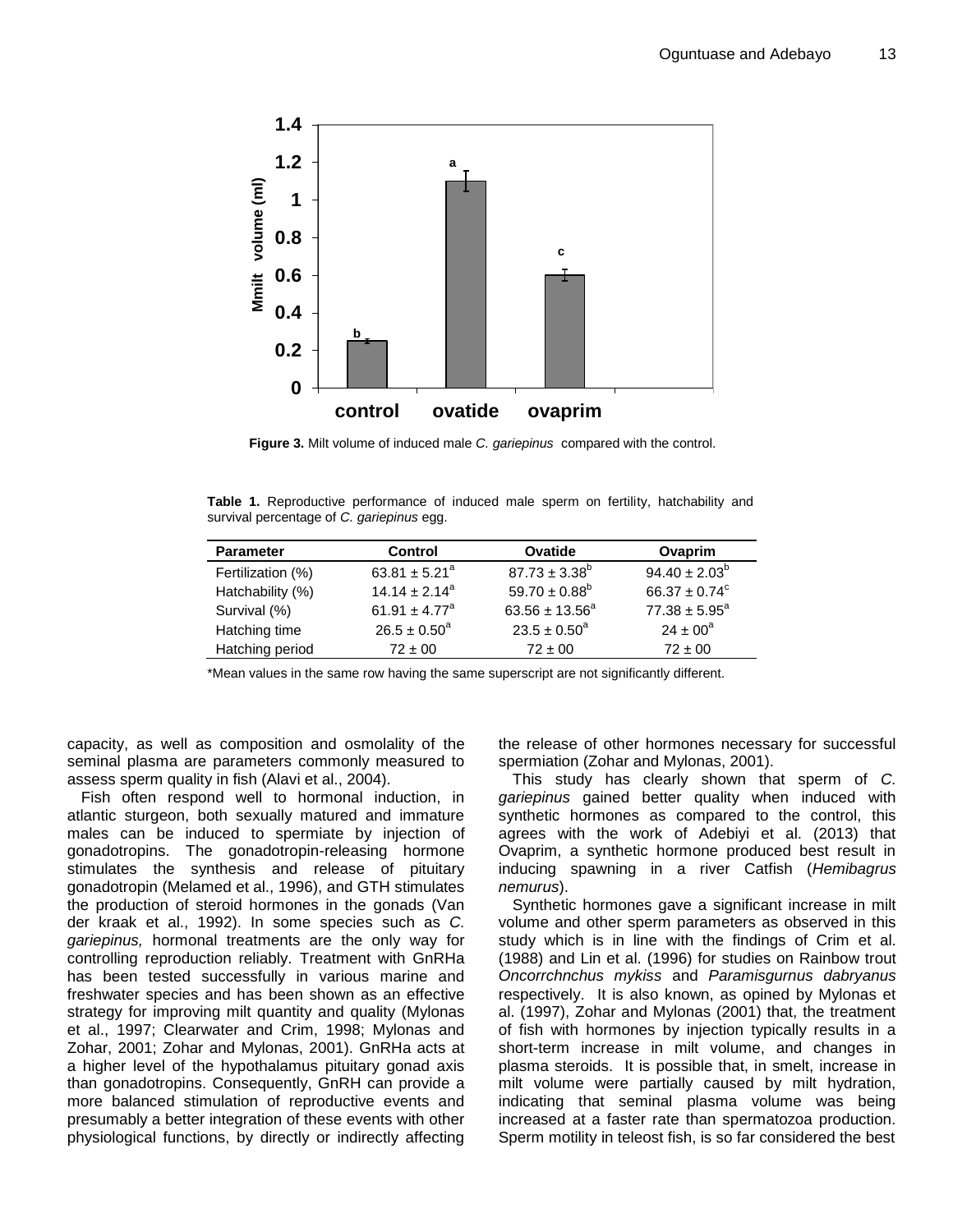

**Figure 3.** Milt volume of induced male *C. gariepinus* compared with the control.

**Table 1.** Reproductive performance of induced male sperm on fertility, hatchability and survival percentage of *C. gariepinus* egg.

| <b>Parameter</b>  | Control                       | Ovatide                 | Ovaprim                  |
|-------------------|-------------------------------|-------------------------|--------------------------|
| Fertilization (%) | 63.81 $\pm$ 5.21 <sup>a</sup> | $87.73 \pm 3.38^b$      | $94.40 \pm 2.03^b$       |
| Hatchability (%)  | $14.14 + 2.14^a$              | $59.70 \pm 0.88^b$      | $66.37 \pm 0.74^{\circ}$ |
| Survival (%)      | 61.91 $\pm$ 4.77 <sup>a</sup> | $63.56 \pm 13.56^a$     | $77.38 \pm 5.95^a$       |
| Hatching time     | $26.5 \pm 0.50^a$             | $23.5 \pm 0.50^{\circ}$ | $24 \pm 00^a$            |
| Hatching period   | $72 \pm 00$                   | $72 \pm 00$             | $72 \pm 00$              |

\*Mean values in the same row having the same superscript are not significantly different.

capacity, as well as composition and osmolality of the seminal plasma are parameters commonly measured to assess sperm quality in fish (Alavi et al., 2004).

Fish often respond well to hormonal induction, in atlantic sturgeon, both sexually matured and immature males can be induced to spermiate by injection of gonadotropins. The gonadotropin-releasing hormone stimulates the synthesis and release of pituitary gonadotropin (Melamed et al., 1996), and GTH stimulates the production of steroid hormones in the gonads (Van der kraak et al., 1992). In some species such as *C. gariepinus,* hormonal treatments are the only way for controlling reproduction reliably. Treatment with GnRHa has been tested successfully in various marine and freshwater species and has been shown as an effective strategy for improving milt quantity and quality (Mylonas et al., 1997; Clearwater and Crim, 1998; Mylonas and Zohar, 2001; Zohar and Mylonas, 2001). GnRHa acts at a higher level of the hypothalamus pituitary gonad axis than gonadotropins. Consequently, GnRH can provide a more balanced stimulation of reproductive events and presumably a better integration of these events with other physiological functions, by directly or indirectly affecting the release of other hormones necessary for successful spermiation (Zohar and Mylonas, 2001).

This study has clearly shown that sperm of *C. gariepinus* gained better quality when induced with synthetic hormones as compared to the control, this agrees with the work of Adebiyi et al. (2013) that Ovaprim, a synthetic hormone produced best result in inducing spawning in a river Catfish (*Hemibagrus nemurus*).

Synthetic hormones gave a significant increase in milt volume and other sperm parameters as observed in this study which is in line with the findings of Crim et al. (1988) and Lin et al. (1996) for studies on Rainbow trout *Oncorrchnchus mykiss* and *Paramisgurnus dabryanus*  respectively. It is also known, as opined by Mylonas et al. (1997), Zohar and Mylonas (2001) that, the treatment of fish with hormones by injection typically results in a short-term increase in milt volume, and changes in plasma steroids. It is possible that, in smelt, increase in milt volume were partially caused by milt hydration, indicating that seminal plasma volume was being increased at a faster rate than spermatozoa production. Sperm motility in teleost fish, is so far considered the best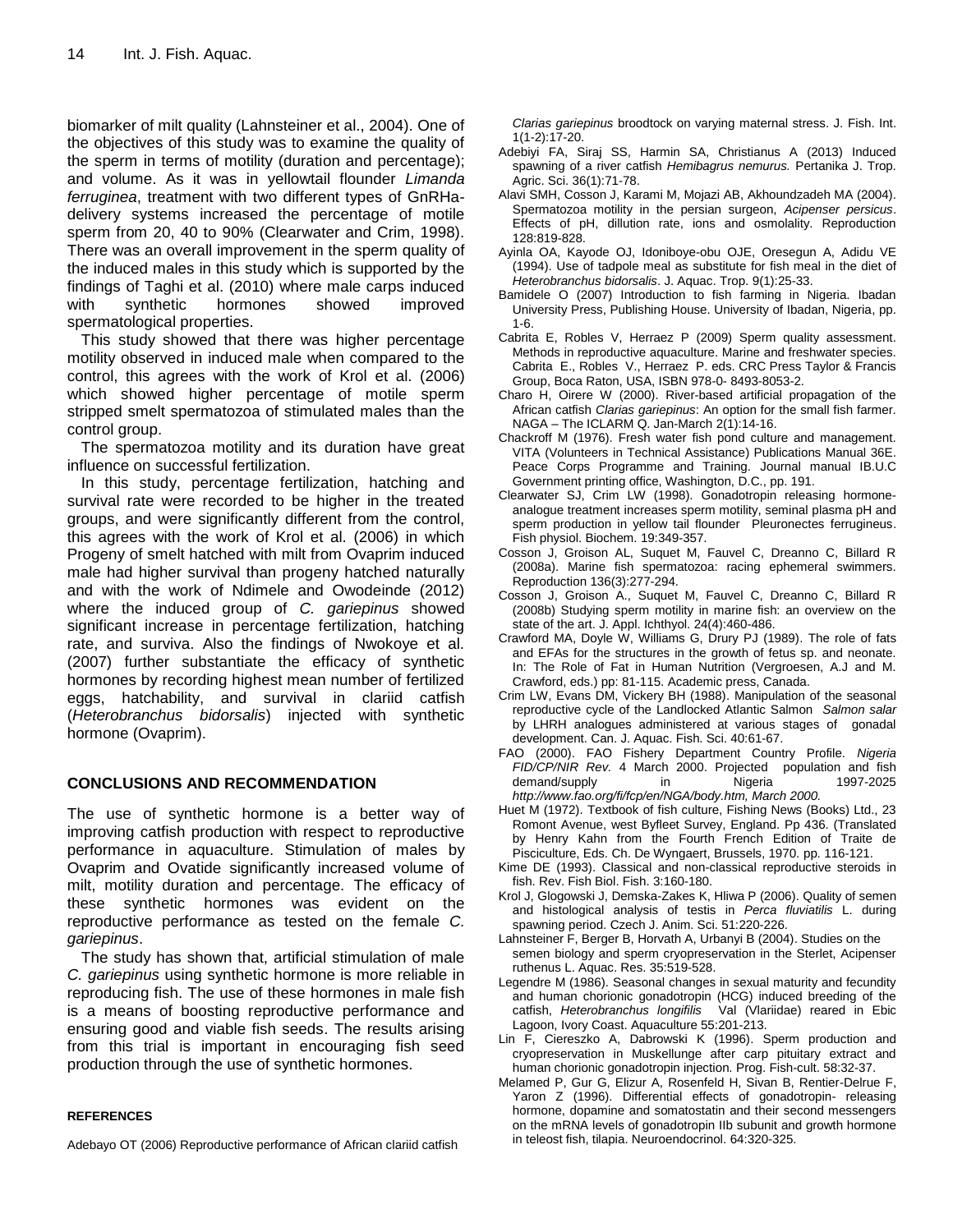biomarker of milt quality (Lahnsteiner et al., 2004). One of the objectives of this study was to examine the quality of the sperm in terms of motility (duration and percentage); and volume. As it was in yellowtail flounder *Limanda ferruginea*, treatment with two different types of GnRHadelivery systems increased the percentage of motile sperm from 20, 40 to 90% (Clearwater and Crim, 1998). There was an overall improvement in the sperm quality of the induced males in this study which is supported by the findings of Taghi et al. (2010) where male carps induced with synthetic hormones showed improved spermatological properties.

This study showed that there was higher percentage motility observed in induced male when compared to the control, this agrees with the work of Krol et al. (2006) which showed higher percentage of motile sperm stripped smelt spermatozoa of stimulated males than the control group.

The spermatozoa motility and its duration have great influence on successful fertilization.

In this study, percentage fertilization, hatching and survival rate were recorded to be higher in the treated groups, and were significantly different from the control, this agrees with the work of Krol et al. (2006) in which Progeny of smelt hatched with milt from Ovaprim induced male had higher survival than progeny hatched naturally and with the work of Ndimele and Owodeinde (2012) where the induced group of *C. gariepinus* showed significant increase in percentage fertilization, hatching rate, and surviva. Also the findings of Nwokoye et al. (2007) further substantiate the efficacy of synthetic hormones by recording highest mean number of fertilized eggs, hatchability, and survival in clariid catfish (*Heterobranchus bidorsalis*) injected with synthetic hormone (Ovaprim).

# **CONCLUSIONS AND RECOMMENDATION**

The use of synthetic hormone is a better way of improving catfish production with respect to reproductive performance in aquaculture. Stimulation of males by Ovaprim and Ovatide significantly increased volume of milt, motility duration and percentage. The efficacy of these synthetic hormones was evident on the reproductive performance as tested on the female *C. gariepinus*.

The study has shown that, artificial stimulation of male *C. gariepinus* using synthetic hormone is more reliable in reproducing fish. The use of these hormones in male fish is a means of boosting reproductive performance and ensuring good and viable fish seeds. The results arising from this trial is important in encouraging fish seed production through the use of synthetic hormones.

# **REFERENCES**

Adebayo OT (2006) Reproductive performance of African clariid catfish

*Clarias gariepinus* broodtock on varying maternal stress. J. Fish. Int. 1(1-2):17-20.

- Adebiyi FA, Siraj SS, Harmin SA, Christianus A (2013) Induced spawning of a river catfish *Hemibagrus nemurus.* Pertanika J. Trop. Agric. Sci. 36(1):71-78.
- Alavi SMH, Cosson J, Karami M, Mojazi AB, Akhoundzadeh MA (2004). Spermatozoa motility in the persian surgeon, *Acipenser persicus*. Effects of pH, dillution rate, ions and osmolality. Reproduction 128:819-828.
- Ayinla OA, Kayode OJ, Idoniboye-obu OJE, Oresegun A, Adidu VE (1994). Use of tadpole meal as substitute for fish meal in the diet of *Heterobranchus bidorsalis*. J. Aquac. Trop. 9(1):25-33.
- Bamidele O (2007) Introduction to fish farming in Nigeria. Ibadan University Press, Publishing House. University of Ibadan, Nigeria, pp. 1-6.
- Cabrita E, Robles V, Herraez P (2009) Sperm quality assessment. Methods in reproductive aquaculture. Marine and freshwater species. Cabrita E., Robles V., Herraez P. eds. CRC Press Taylor & Francis Group, Boca Raton, USA, ISBN 978-0- 8493-8053-2.
- Charo H, Oirere W (2000). River-based artificial propagation of the African catfish *Clarias gariepinus*: An option for the small fish farmer. NAGA – The ICLARM Q. Jan-March 2(1):14-16.
- Chackroff M (1976). Fresh water fish pond culture and management. VITA (Volunteers in Technical Assistance) Publications Manual 36E. Peace Corps Programme and Training. Journal manual IB.U.C Government printing office, Washington, D.C., pp. 191.
- Clearwater SJ, Crim LW (1998). Gonadotropin releasing hormoneanalogue treatment increases sperm motility, seminal plasma pH and sperm production in yellow tail flounder Pleuronectes ferrugineus. Fish physiol. Biochem. 19:349-357.
- Cosson J, Groison AL, Suquet M, Fauvel C, Dreanno C, Billard R (2008a). Marine fish spermatozoa: racing ephemeral swimmers. Reproduction 136(3):277-294.
- Cosson J, Groison A., Suquet M, Fauvel C, Dreanno C, Billard R (2008b) Studying sperm motility in marine fish: an overview on the state of the art. J. Appl. Ichthyol. 24(4):460-486.
- Crawford MA, Doyle W, Williams G, Drury PJ (1989). The role of fats and EFAs for the structures in the growth of fetus sp. and neonate. In: The Role of Fat in Human Nutrition (Vergroesen, A.J and M. Crawford, eds.) pp: 81-115. Academic press, Canada.
- Crim LW, Evans DM, Vickery BH (1988). Manipulation of the seasonal reproductive cycle of the Landlocked Atlantic Salmon *Salmon salar* by LHRH analogues administered at various stages of gonadal development. Can. J. Aquac. Fish. Sci. 40:61-67.
- FAO (2000). FAO Fishery Department Country Profile. *Nigeria FID/CP/NIR Rev.* 4 March 2000. Projected population and fish demand/supply in Nigeria 1997-2025 *http://www.fao.org/fi/fcp/en/NGA/body.htm, March 2000.*
- Huet M (1972). Textbook of fish culture, Fishing News (Books) Ltd., 23 Romont Avenue, west Byfleet Survey, England. Pp 436. (Translated by Henry Kahn from the Fourth French Edition of Traite de Pisciculture, Eds. Ch. De Wyngaert, Brussels, 1970. pp. 116-121.
- Kime DE (1993). Classical and non-classical reproductive steroids in fish. Rev. Fish Biol. Fish. 3:160-180.
- Krol J, Glogowski J, Demska-Zakes K, Hliwa P (2006). Quality of semen and histological analysis of testis in *Perca fluviatilis* L. during spawning period. Czech J. Anim. Sci. 51:220-226.
- Lahnsteiner F, Berger B, Horvath A, Urbanyi B (2004). Studies on the semen biology and sperm cryopreservation in the Sterlet, Acipenser ruthenus L. Aquac. Res. 35:519-528.
- Legendre M (1986). Seasonal changes in sexual maturity and fecundity and human chorionic gonadotropin (HCG) induced breeding of the catfish, *Heterobranchus longifilis* Val (Vlariidae) reared in Ebic Lagoon, Ivory Coast. Aquaculture 55:201-213.
- Lin F, Ciereszko A, Dabrowski K (1996). Sperm production and cryopreservation in Muskellunge after carp pituitary extract and human chorionic gonadotropin injection. Prog. Fish-cult. 58:32-37.
- Melamed P, Gur G, Elizur A, Rosenfeld H, Sivan B, Rentier-Delrue F, Yaron Z (1996). Differential effects of gonadotropin- releasing hormone, dopamine and somatostatin and their second messengers on the mRNA levels of gonadotropin IIb subunit and growth hormone in teleost fish, tilapia. Neuroendocrinol. 64:320-325.